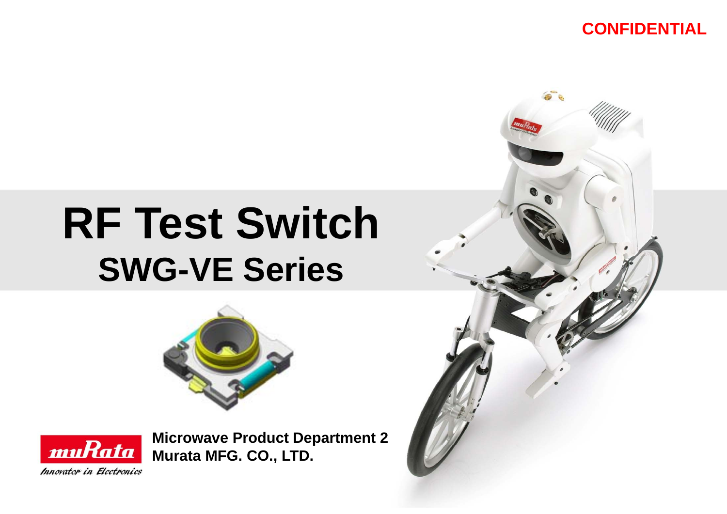### **CONFIDENTIAL**

# **RF Test Switch SWG-VE Series**





**Microwave Product Department 2 Murata MFG. CO., LTD.**

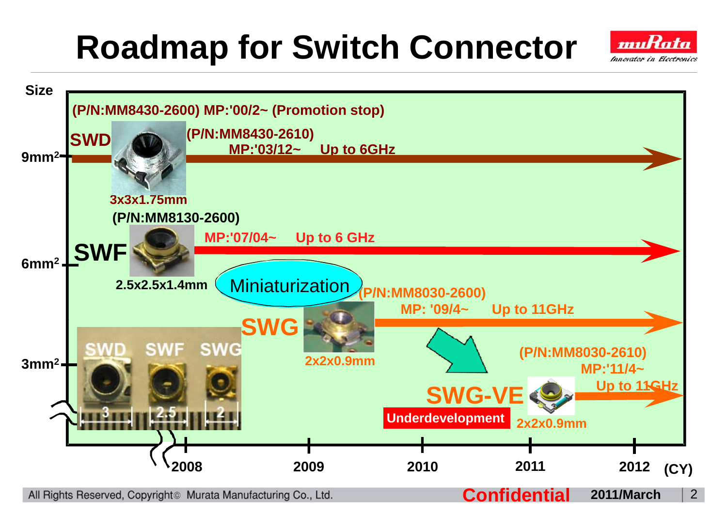# **Roadmap for Switch Connector**



All Rights Reserved, Copyright<sup>®</sup> Murata Manufacturing Co., Ltd.

**Confidential 2011/March**

2

muRata Innovator in Electronics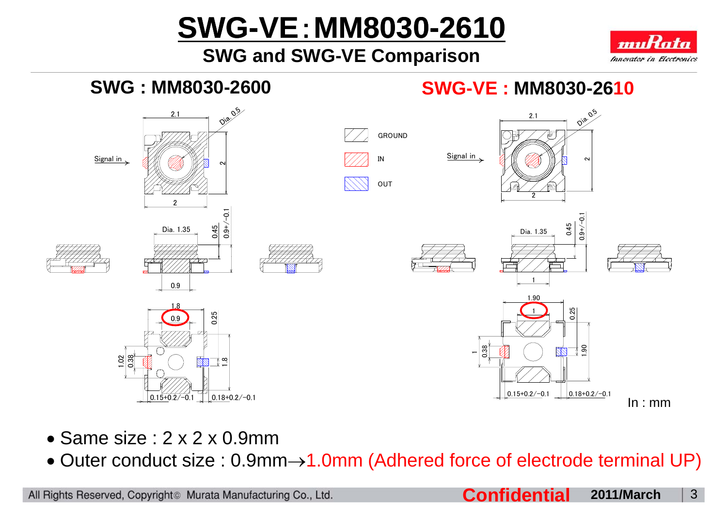# **SWG-VE**:**MM8030-2610**

## **SWG and SWG-VE Comparison**





- Same size : 2 x 2 x 0.9mm
- Outer conduct size : 0.9mm→1.0mm (Adhered force of electrode terminal UP)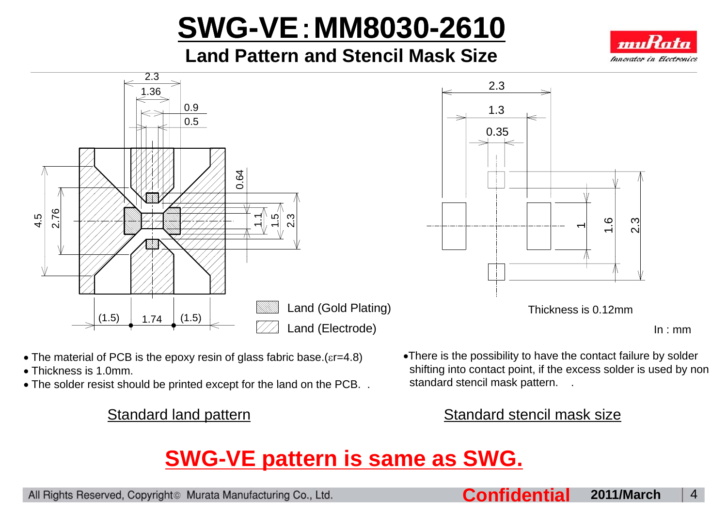# **SWG-VE**:**MM8030-2610**

**Land Pattern and Stencil Mask Size**







In : mm

- The material of PCB is the epoxy resin of glass fabric base. (ε r=4.8)
- Thickness is 1.0mm.
- $\bullet$  The solder resist should be printed except for the land on the PCB.  $\ldots$  standard stencil mask pattern.  $\ldots$

•There is the possibility to have the contact failure by solder shifting into contact point, if the excess solder is used by non standard stencil mask pattern. .

#### Standard land pattern Standard stencil mask size

## **SWG-VE pattern is same as SWG.**

All Rights Reserved, Copyright<sup>®</sup> Murata Manufacturing Co., Ltd.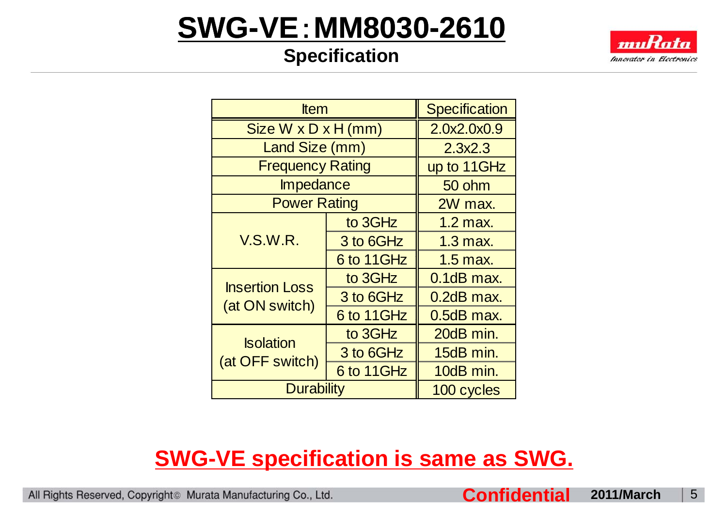## **SWG-VE**:**MM8030-2610**

## **Specification**



| <b>Item</b>                             | <b>Specification</b> |               |  |
|-----------------------------------------|----------------------|---------------|--|
| Size $W \times D \times H$ (mm)         | 2.0x2.0x0.9          |               |  |
| Land Size (mm)                          | 2.3x2.3              |               |  |
| <b>Frequency Rating</b>                 | up to 11GHz          |               |  |
| <b>Impedance</b>                        | 50 ohm               |               |  |
| <b>Power Rating</b>                     |                      | 2W max.       |  |
| V.S.W.R.                                | to 3GHz              | 1.2 max.      |  |
|                                         | 3 to 6GHz            | $1.3$ max.    |  |
|                                         | 6 to 11GHz           | $1.5$ max.    |  |
| <b>Insertion Loss</b><br>(at ON switch) | to 3GHz              | $0.1$ dB max. |  |
|                                         | 3 to 6GHz            | 0.2dB max.    |  |
|                                         | 6 to 11GHz           | 0.5dB max.    |  |
| <b>Isolation</b><br>(at OFF switch)     | to 3GHz              | 20dB min.     |  |
|                                         | 3 to 6GHz            | 15dB min.     |  |
|                                         | 6 to 11GHz           | 10dB min.     |  |
| <b>Durability</b>                       |                      | 100 cycles    |  |

## **SWG-VE specification is same as SWG.**

All Rights Reserved, Copyright<sup>®</sup> Murata Manufacturing Co., Ltd.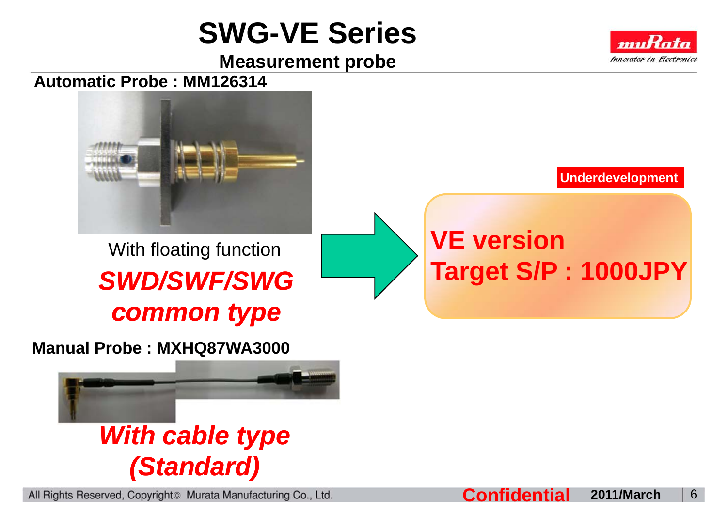## **SWG-VE Series**

**Measurement probe**







With floating function **VE version** *SWD/SWF/SWG common type*

**Manual Probe : MXHQ87WA3000**



All Rights Reserved, Copyright<sup>®</sup> Murata Manufacturing Co., Ltd.

**Underdevelopment**

# **Target S/P : 1000JPY**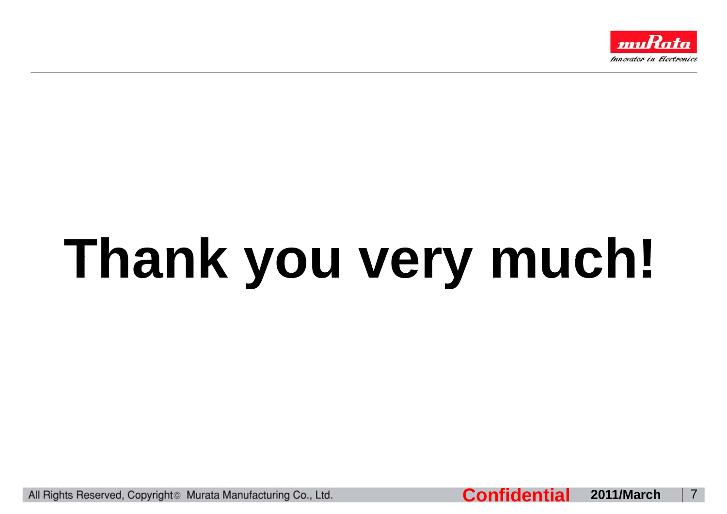

# **Thank you very much!**

All Rights Reserved, Copyright<sup>®</sup> Murata Manufacturing Co., Ltd.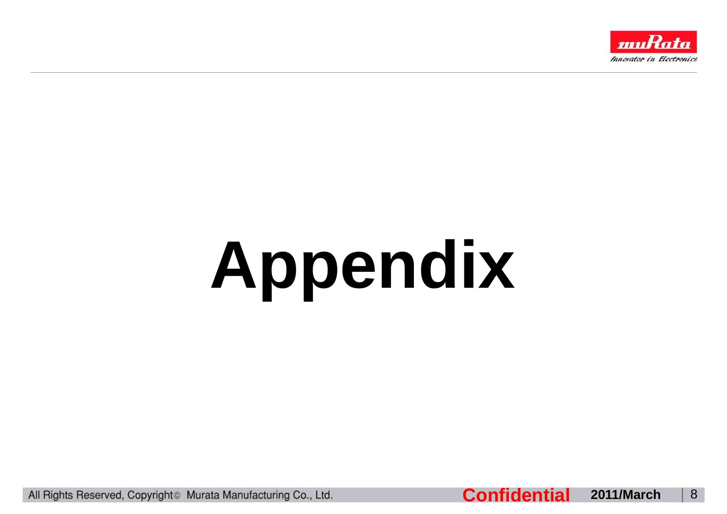

# **Appendix**

All Rights Reserved, Copyright<sup>®</sup> Murata Manufacturing Co., Ltd.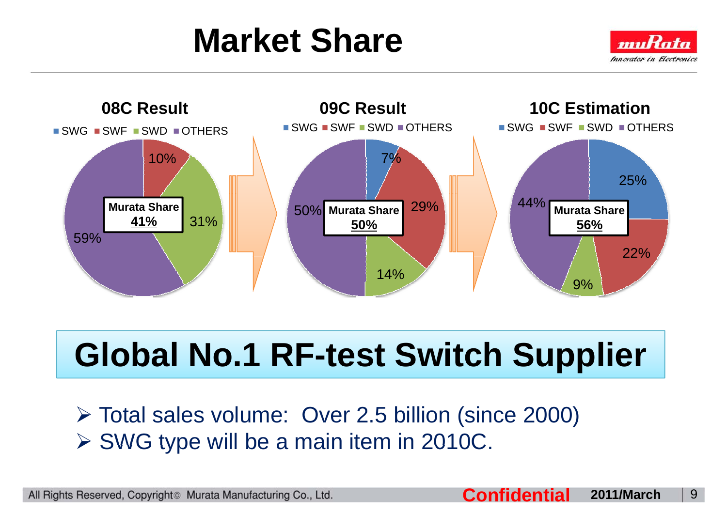# **Market Share**





# **Global No.1 RF-test Switch Supplier**

¾ Total sales volume: Over 2.5 billion (since 2000) ¾ SWG type will be <sup>a</sup> main item in 2010C 2010C.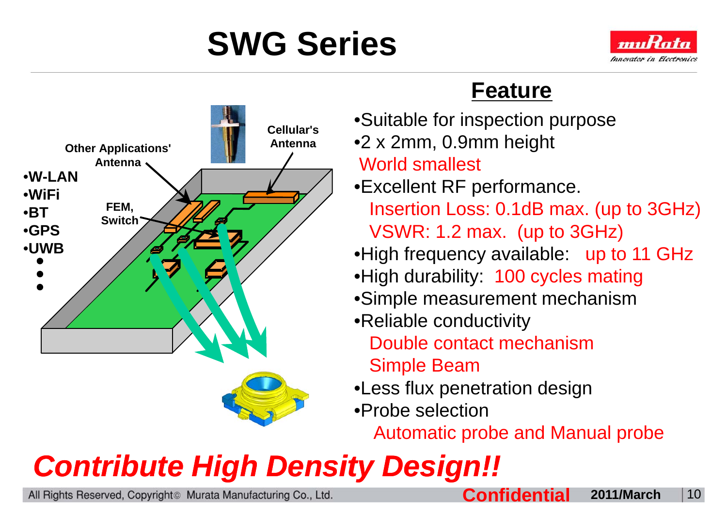



## **Feature**

- •Suitable for inspection purpose **Cellular sAntenna**
	- •2 x 2mm, 0.9mm height

## World smallest

- •Excellent RF performance. p Insertion Loss: 0.1dB max. (up to 3GHz) VSWR: 1.2 max. (up to 3GHz)
- •High frequency available: up to 11 GHz High available:
	- •High durability: 100 cycles mating
	- •Simple measurement mechanism
	- •Reliable conductivity

Double contact mechanismSimple Beam

- $\bullet$ Less flux penetration design
- •Probe selection

Automatic probe and Manual probe

# *Contribute High Density Density Design!!*

All Rights Reserved, Copyright<sup>®</sup> Murata Manufacturing Co., Ltd.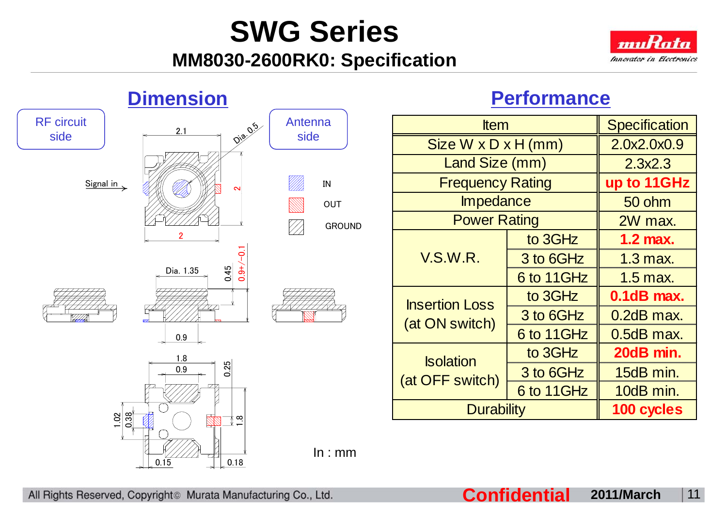## **MM8030-2600RK0: Specification**



2.3x2.3

**up to 11GHz**

50 ohm

2W max.

**1.2 max.**

1 3 max

**0.1dB max.**

0.2dB max.

**20dB min.**

**100 cycles**



## **Performance**

All Rights Reserved, Copyright<sup>®</sup> Murata Manufacturing Co., Ltd.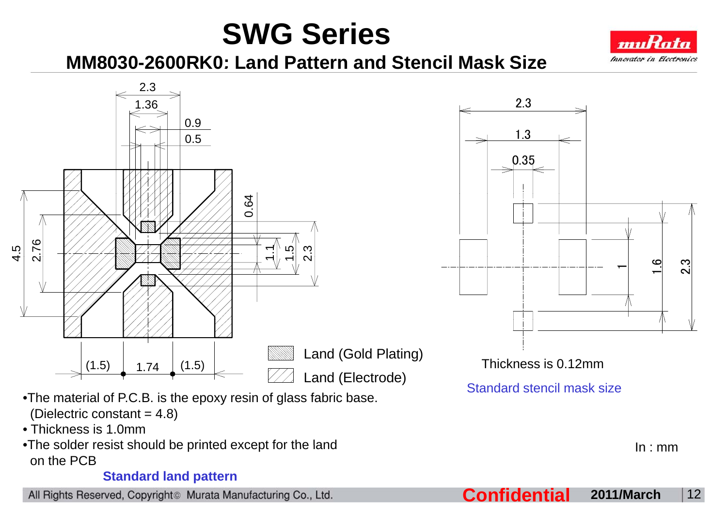

**MM8030-2600RK0: Land Pattern and Stencil 2600RK0: Mask Size**



 $1.3$ 0.35 $\mathbf{c}$  $-$  9  $\frac{9}{1}$  3 Thickness is 0.12mm

2.3

Standard stencil mask size

- •The material of P.C.B. is the epoxy resin of glass fabric base. (Dielectric constant  $= 4.8$ )
- Thickness is 1.0mm
- $\bullet$ The solder resist should be printed except for the land on the PCB

#### **Standard land pattern**

All Rights Reserved, Copyright<sup>®</sup> Murata Manufacturing Co., Ltd.

**Confidential 2011/March** <sup>12</sup>

In : mm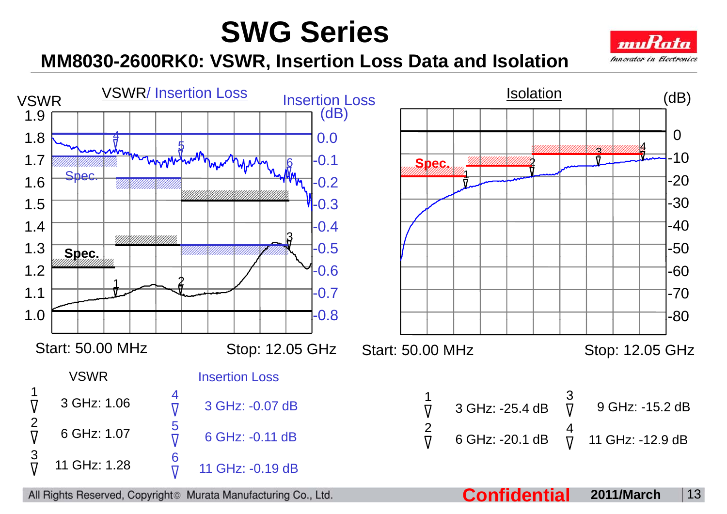

**MM8030-2600RK0: VSWR, Insertion Loss Data and Isolation**

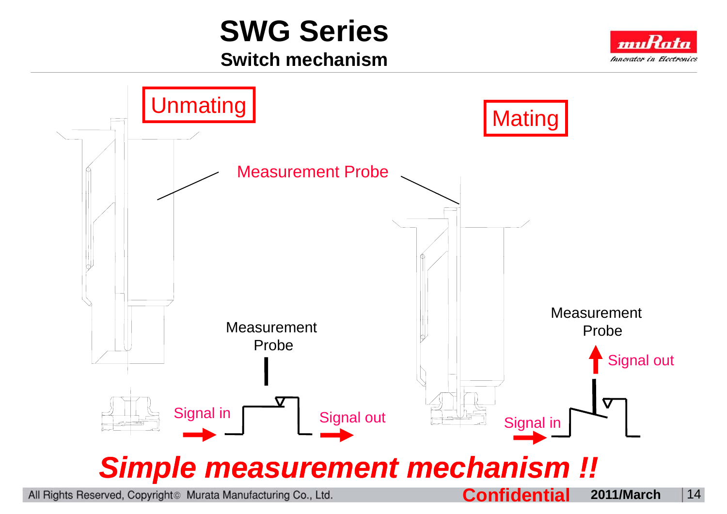## **Switch mechanism**



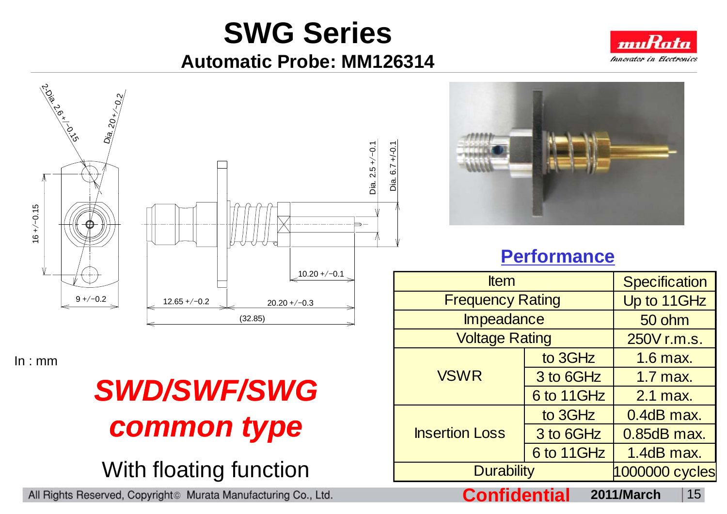## **Automatic Probe: MM126314**



In : mm

# *SWD/SWF/SWGcommon type*

## With floating function

All Rights Reserved, Copyright<sup>®</sup> Murata Manufacturing Co., Ltd.



## **Performance**

| <b>Item</b>             | Specification  |               |
|-------------------------|----------------|---------------|
| <b>Frequency Rating</b> | Up to 11GHz    |               |
| <b>Impeadance</b>       | 50 ohm         |               |
| <b>Voltage Rating</b>   | 250V r.m.s.    |               |
| <b>VSWR</b>             | to 3GHz        | 1.6 max.      |
|                         | 3 to 6GHz      | $1.7$ max.    |
|                         | 6 to 11GHz     | 2.1 max.      |
| <b>Insertion Loss</b>   | to 3GHz        | 0.4dB max.    |
|                         | 3 to 6GHz      | $0.85dB$ max. |
|                         | 6 to 11GHz     | 1.4dB max.    |
| <b>Durability</b>       | 1000000 cycles |               |

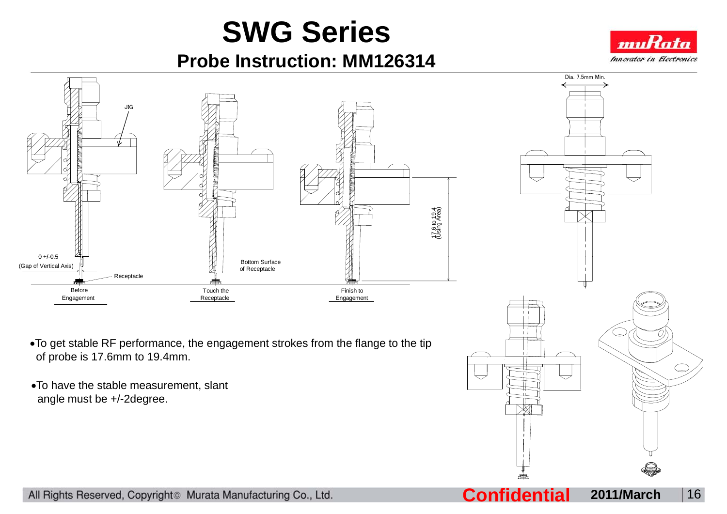**Probe Instruction: MM126314**





All Rights Reserved, Copyright<sup>®</sup> Murata Manufacturing Co., Ltd.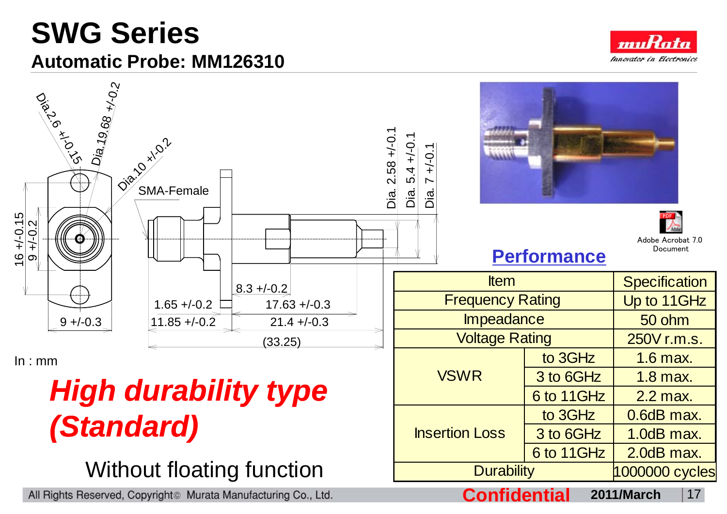## **SWG Series Automatic Probe: MM126310**





## **high durability type** *(Standard)*

Without floating function

All Rights Reserved, Copyright<sup>®</sup> Murata Manufacturing Co., Ltd.

**Confidential 2011/March** <sup>17</sup>

Insertion Loss

to  $3GHz$   $0.6dB$  max.

 $3$  to 6GHz  $\parallel$  1.0dB max.

6 to 11GHz  $\vert$  2.0dB max.

Durability 1000000 cycles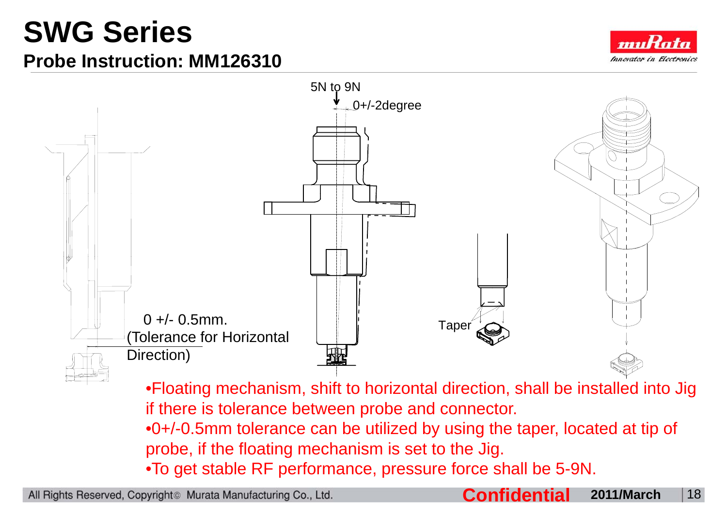## **Probe Instruction: MM126310**





•Floating mechanism, shift to horizontal direction, shall be installed into Jig if there is tolerance between probe and connector.

•0+/-0.5mm tolerance can be utilized by using the taper, located at tip of probe, if the floating mechanism is set to the Jig.

•To get stable RF performance, pressure force shall be 5-9N.

All Rights Reserved, Copyright<sup>®</sup> Murata Manufacturing Co., Ltd.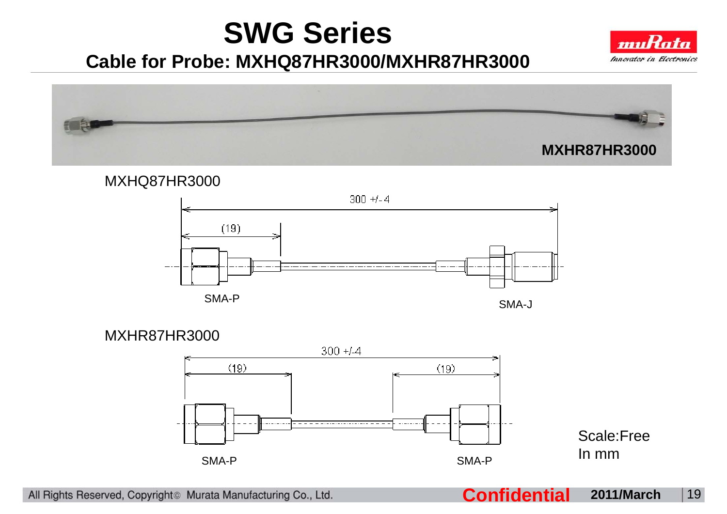## **Cable for Probe: MXHQ87HR3000/MXHR87HR3000**





#### MXHQ87HR3000



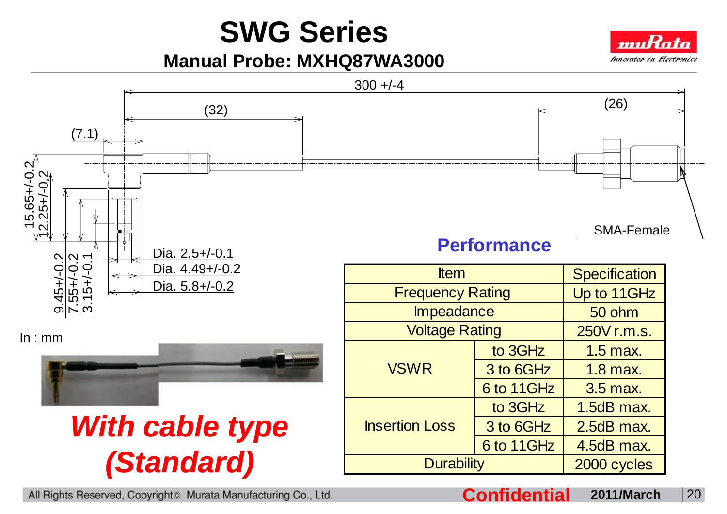**Manual Probe: MXHQ87WA3000**



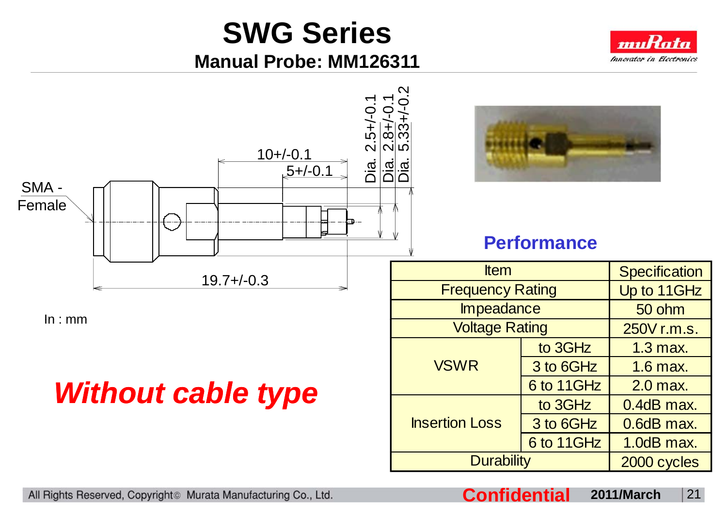**Manual Probe: MM126311**